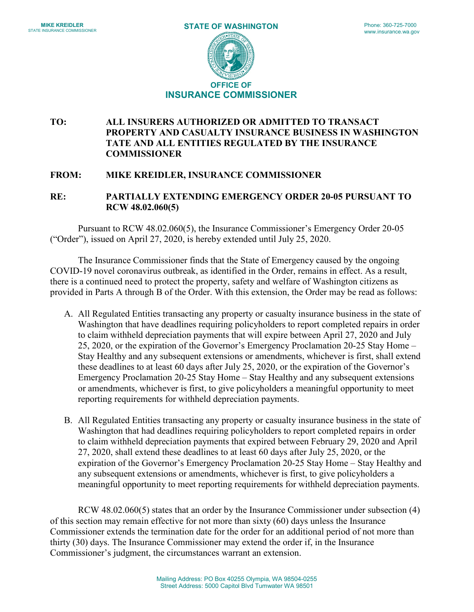

## **TO: ALL INSURERS AUTHORIZED OR ADMITTED TO TRANSACT PROPERTY AND CASUALTY INSURANCE BUSINESS IN WASHINGTON TATE AND ALL ENTITIES REGULATED BY THE INSURANCE COMMISSIONER**

## **FROM: MIKE KREIDLER, INSURANCE COMMISSIONER**

**RE: PARTIALLY EXTENDING EMERGENCY ORDER 20-05 PURSUANT TO RCW 48.02.060(5)**

Pursuant to RCW 48.02.060(5), the Insurance Commissioner's Emergency Order 20-05 ("Order"), issued on April 27, 2020, is hereby extended until July 25, 2020.

The Insurance Commissioner finds that the State of Emergency caused by the ongoing COVID-19 novel coronavirus outbreak, as identified in the Order, remains in effect. As a result, there is a continued need to protect the property, safety and welfare of Washington citizens as provided in Parts A through B of the Order. With this extension, the Order may be read as follows:

- A. All Regulated Entities transacting any property or casualty insurance business in the state of Washington that have deadlines requiring policyholders to report completed repairs in order to claim withheld depreciation payments that will expire between April 27, 2020 and July 25, 2020, or the expiration of the Governor's Emergency Proclamation 20-25 Stay Home – Stay Healthy and any subsequent extensions or amendments, whichever is first, shall extend these deadlines to at least 60 days after July 25, 2020, or the expiration of the Governor's Emergency Proclamation 20-25 Stay Home – Stay Healthy and any subsequent extensions or amendments, whichever is first, to give policyholders a meaningful opportunity to meet reporting requirements for withheld depreciation payments.
- B. All Regulated Entities transacting any property or casualty insurance business in the state of Washington that had deadlines requiring policyholders to report completed repairs in order to claim withheld depreciation payments that expired between February 29, 2020 and April 27, 2020, shall extend these deadlines to at least 60 days after July 25, 2020, or the expiration of the Governor's Emergency Proclamation 20-25 Stay Home – Stay Healthy and any subsequent extensions or amendments, whichever is first, to give policyholders a meaningful opportunity to meet reporting requirements for withheld depreciation payments.

RCW 48.02.060(5) states that an order by the Insurance Commissioner under subsection (4) of this section may remain effective for not more than sixty (60) days unless the Insurance Commissioner extends the termination date for the order for an additional period of not more than thirty (30) days. The Insurance Commissioner may extend the order if, in the Insurance Commissioner's judgment, the circumstances warrant an extension.